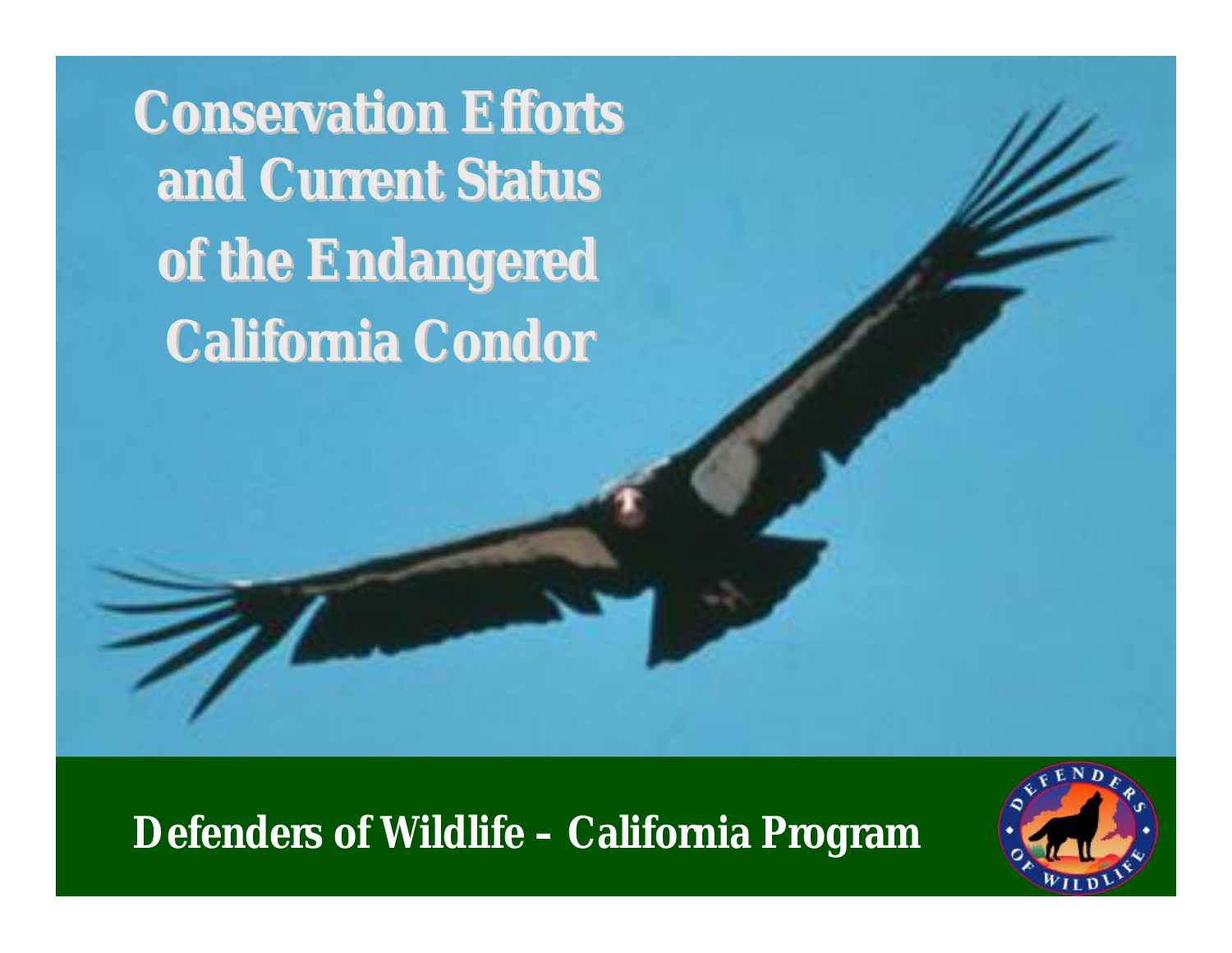**Conservation Efforts and Current Status of the Endangered California Condor**

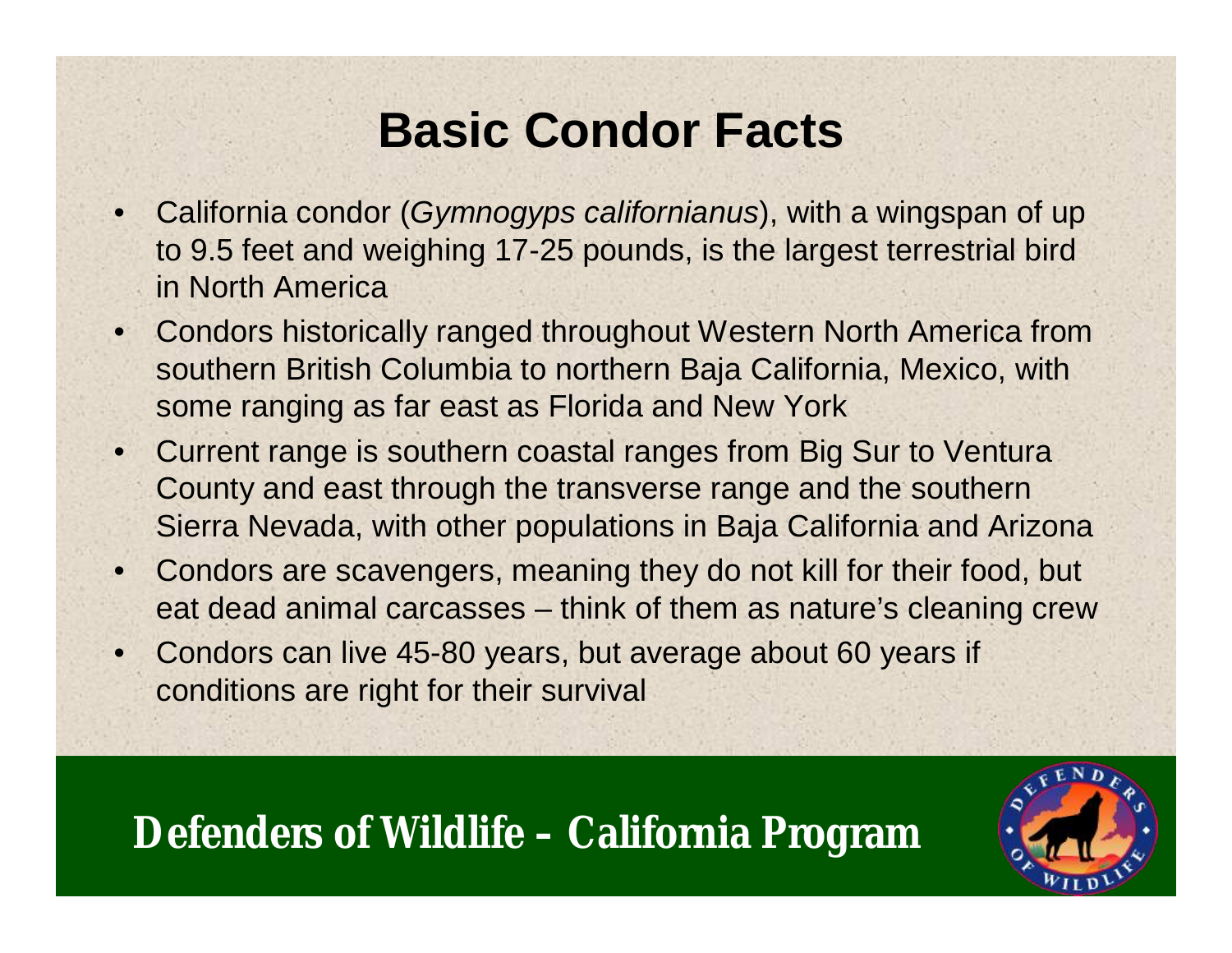### **Basic Condor Facts**

- California condor (*Gymnogyps californianus*), with a wingspan of up to 9.5 feet and weighing 17-25 pounds, is the largest terrestrial bird in North America
- Condors historically ranged throughout Western North America from southern British Columbia to northern Baja California, Mexico, with some ranging as far east as Florida and New York
- Current range is southern coastal ranges from Big Sur to Ventura County and east through the transverse range and the southern Sierra Nevada, with other populations in Baja California and Arizona
- Condors are scavengers, meaning they do not kill for their food, but eat dead animal carcasses – think of them as nature's cleaning crew
- Condors can live 45-80 years, but average about 60 years if conditions are right for their survival

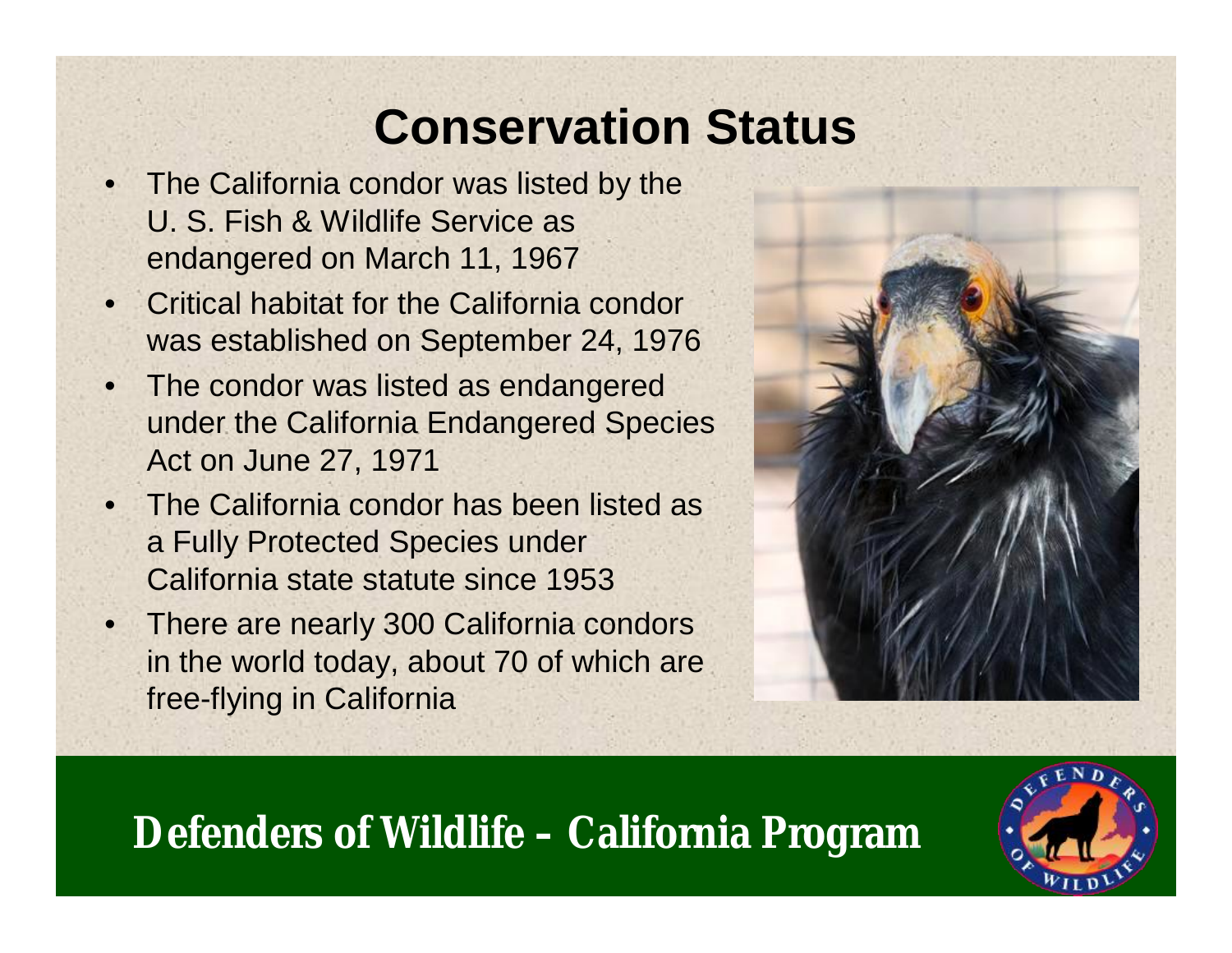# **Conservation Status**

- The California condor was listed by the U. S. Fish & Wildlife Service as endangered on March 11, 1967
- Critical habitat for the California condor was established on September 24, 1976
- The condor was listed as endangered under the California Endangered Species Act on June 27, 1971
- The California condor has been listed as a Fully Protected Species under California state statute since 1953
- There are nearly 300 California condors in the world today, about 70 of which are free-flying in California



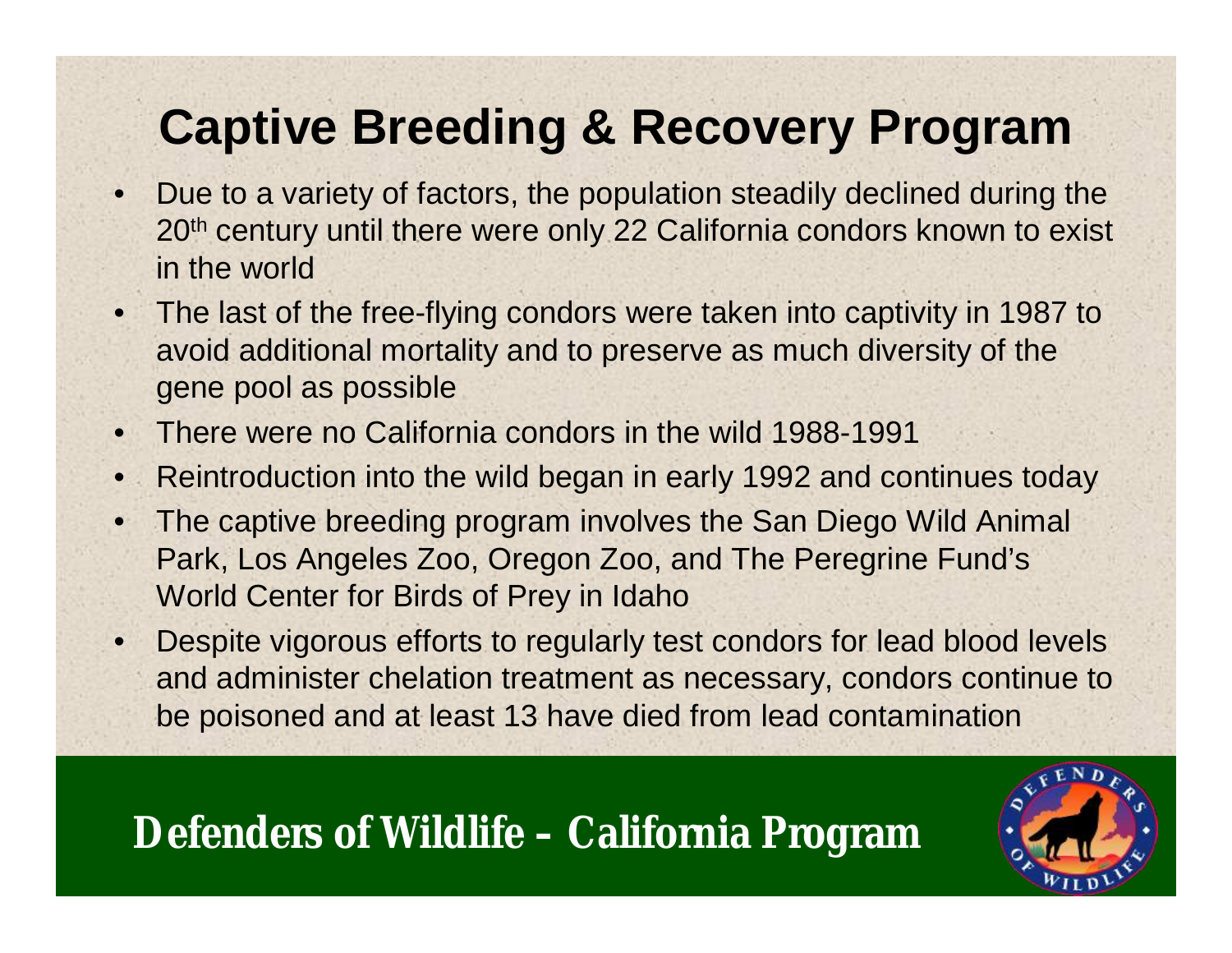## **Captive Breeding & Recovery Program**

- Due to a variety of factors, the population steadily declined during the 20<sup>th</sup> century until there were only 22 California condors known to exist in the world
- The last of the free-flying condors were taken into captivity in 1987 to avoid additional mortality and to preserve as much diversity of the gene pool as possible
- There were no California condors in the wild 1988-1991
- Reintroduction into the wild began in early 1992 and continues today
- The captive breeding program involves the San Diego Wild Animal Park, Los Angeles Zoo, Oregon Zoo, and The Peregrine Fund's World Center for Birds of Prey in Idaho
- Despite vigorous efforts to regularly test condors for lead blood levels and administer chelation treatment as necessary, condors continue to be poisoned and at least 13 have died from lead contamination

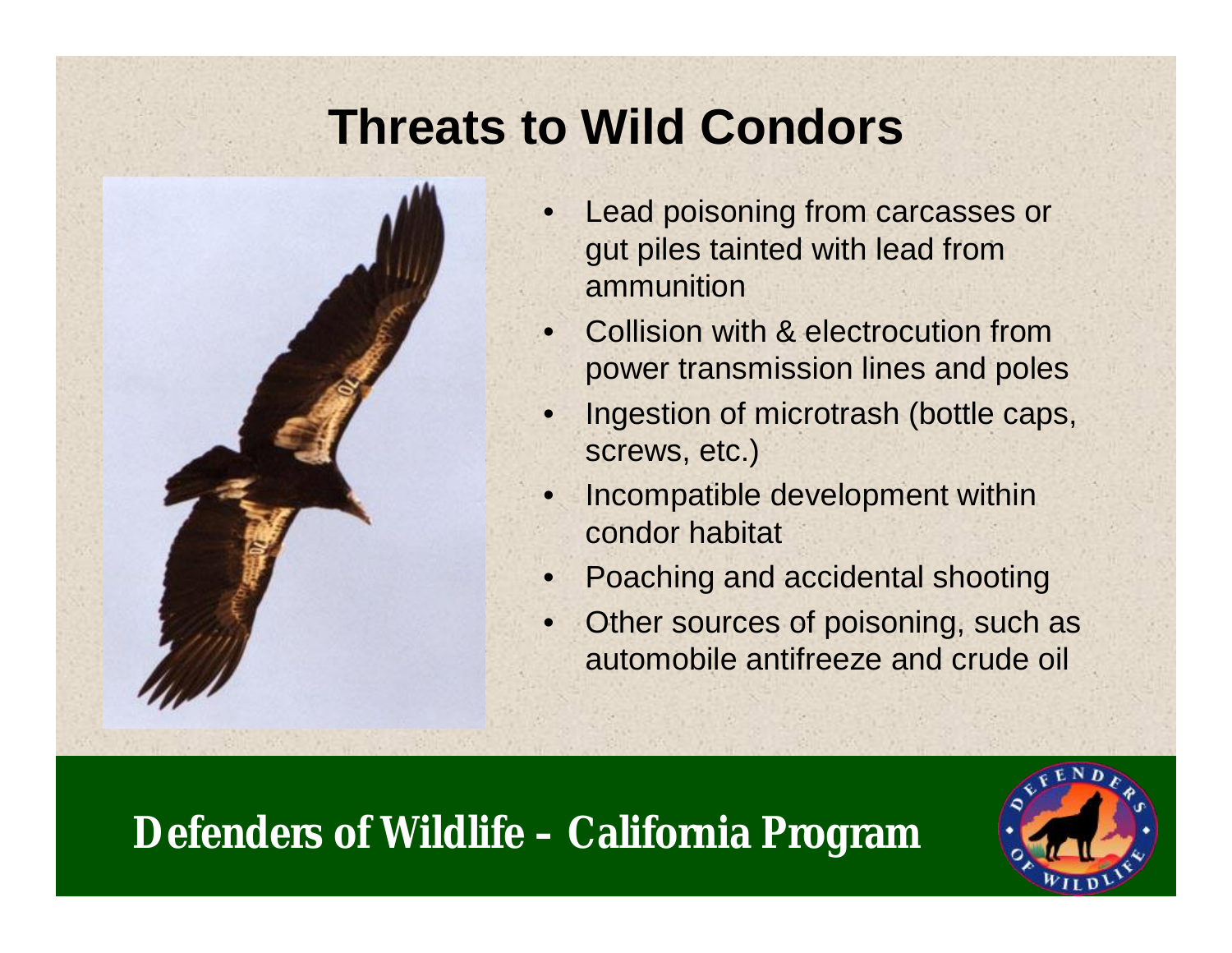## **Threats to Wild Condors**



- Lead poisoning from carcasses or gut piles tainted with lead from ammunition
- **Collision with & electrocution from** power transmission lines and poles
- Ingestion of microtrash (bottle caps, screws, etc.)
- Incompatible development within condor habitat
- Poaching and accidental shooting
- Other sources of poisoning, such as automobile antifreeze and crude oil